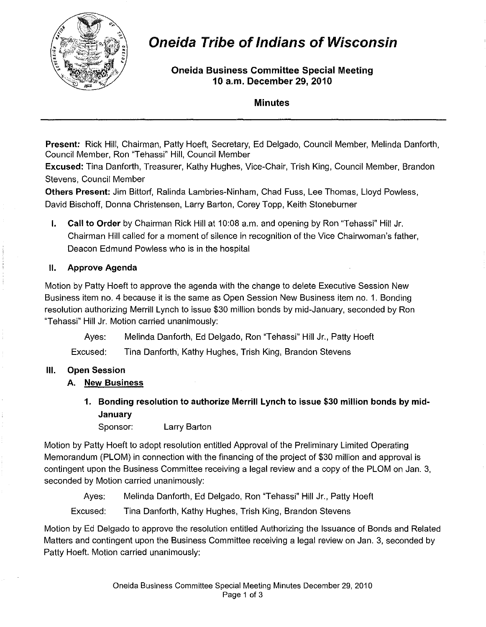

# Oneida Tribe of Indians of Wisconsin

Oneida Business Committee Special Meeting 10 a.m. December 29,2010

Minutes

Present: Rick Hill, Chairman, Patty Hoeft, Secretary, Ed Delgado, Council Member, Melinda Danforth, Council Member. Ron "Tehassi" Hill, Council Member

Excused: Tina Danforth, Treasurer, Kathy Hughes, Vice-Chair, Trish King, Council Member, Brandon Stevens, Council Member

Others Present: Jim Bittorf, Ralinda Lambries-Ninham, Chad Fuss, Lee Thomas, Lloyd Powless, David Bischoff, Donna Christensen, Larry Barton, Corey Topp, Keith Stoneburner

I. Call to Order by Chairman Rick Hill at 10:08 a.m. and opening by Ron "Tehassi" Hill Jr. Chairman Hill called for a moment of silence in recognition of the Vice Chairwoman's father, Deacon Edmund Powless who is in the hospital

#### II. Approve Agenda

Motion by Patty Hoeft to approve the agenda with the change to delete Executive Session New Business item no. 4 because it is the same as Open Session New Business item no. 1. Bonding resolution authorizing Merrill Lynch to issue \$30 million bonds by mid-January, seconded by Ron "Tehassi" Hill Jr. Motion carried unanimously:

Ayes: Melinda Danforth, Ed Delgado, Ron "Tehassi" Hill Jr., Patty Hoeft

Excused: Tina Danforth, Kathy Hughes, Trish King, Brandon Stevens

#### III. Open Session

#### A. New Business

1. Bonding resolution to authorize Merrill Lynch to issue \$30 million bonds by mid-**January** 

Sponsor: Larry Barton

Motion by Patty Hoeft to adopt resolution entitled Approval of the Preliminary Limited Operating Memorandum (PLOM) in connection with the financing of the project of \$30 million and approval is contingent upon the Business Committee receiving a legal review and a copy of the PLOM on Jan. 3, seconded by Motion carried unanimously:

Ayes: Melinda Danforth, Ed Delgado, Ron "Tehassi" Hill Jr., Patty Hoeft

Excused: Tina Danforth, Kathy Hughes, Trish King, Brandon Stevens

Motion by Ed Delgado to approve the resolution entitled Authorizing the Issuance of Bonds and Related Matters and contingent upon the Business Committee receiving a legal review on Jan. 3, seconded by Patty Hoeft. Motion carried unanimously: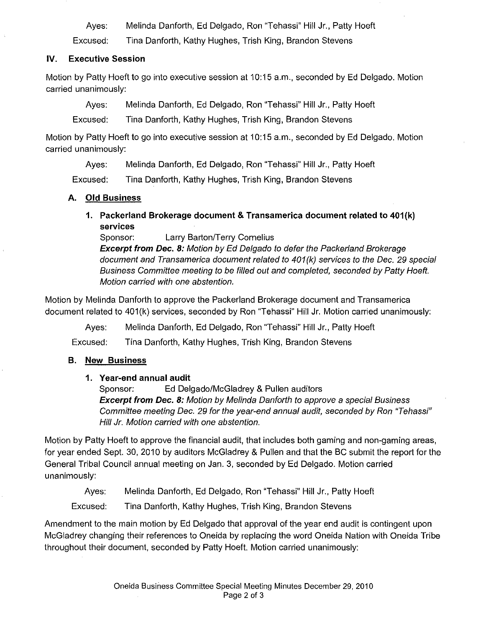Ayes: Melinda Danforth, Ed Delgado, Ron "Tehassi" Hill Jr., Patty Hoeft

Excused: Tina Danforth, Kathy Hughes, Trish King, Brandon Stevens

#### **IV. Executive Session**

Motion by Patty Hoeft to go into executive session at 10:15 a.m., seconded by Ed Delgado. Motion carried unanimously:

Ayes: Melinda Danforth, Ed Delgado, Ron "Tehassi" **Hill** Jr., Patty Hoeft

Excused: Tina Danforth, Kathy Hughes, Trish King, Brandon Stevens

Motion by Patty Hoeft to go into executive session at 10:15 a.m., seconded by Ed Delgado. Motion carried unanimously:

Ayes: Melinda Danforth, Ed Delgado, Ron "Tehassi" **Hill** Jr., Patty Hoeft

Excused: Tina Danforth, Kathy Hughes, Trish King, Brandon Stevens

### **A. Old Business**

**1. Packerland Brokerage document & Transamerica document related to 401{k) services** 

Sponsor: Larry Barton/Terry Cornelius

**Excerpt from Dec. 8:** Motion by Ed Delgado to defer the Packerland Brokerage document and Transamerica document related to 401 (k) services to the Dec. 29 special Business Committee meeting to be filled out and completed, seconded by Patty Hoeft. Motion carried with one abstention.

Motion by Melinda Danforth to approve the Packerland Brokerage document and Transamerica document related to 401(k) services, seconded by Ron "Tehassi" **Hill** Jr. Motion carried unanimously:

Ayes: Melinda Danforth, Ed Delgado, Ron "Tehassi" **Hill** Jr., Patty Hoeft

Excused: Tina Danforth, Kathy Hughes, Trish King, Brandon Stevens

# **B. New Business**

#### **1. Year-end annual audit**

Sponsor: Ed Delgado/McGladrey & Pullen auditors **Excerpt from Dec. 8:** Motion by Melinda Danforth to approve a special Business Committee meeting Dec. 29 for the year-end annual audit, seconded by Ron "Tehassi" Hill Jr. Motion carried with one abstention.

Motion by Patty Hoeft to approve the financial audit, that includes both gaming and non-gaming areas, for year ended Sept. 30, 2010 by auditors McGladrey & Pullen and that the BC submit the report for the General Tribal Council annual meeting on Jan. 3, seconded by Ed Delgado. Motion carried unanimously:

Ayes: Melinda Danforth, Ed Delgado, Ron "Tehassi" **Hill** Jr., Patty Hoeft

Excused: Tina Danforth, Kathy Hughes, Trish King, Brandon Stevens

Amendment to the main motion by Ed Delgado that approval of the year end audit is contingent upon McGladrey changing their references to Oneida by replacing the word Oneida Nation with Oneida Tribe throughout their document, seconded by Patty Hoeft. Motion carried unanimously: